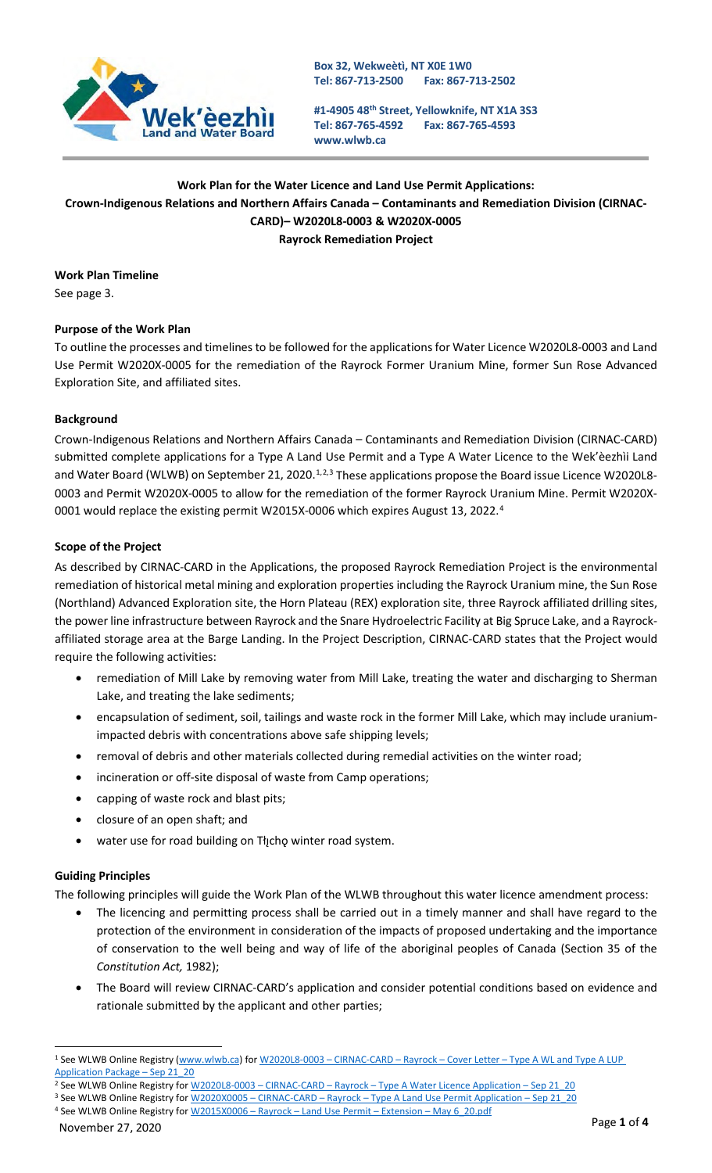

**Box 32, Wekweètì, NT X0E 1W0 Tel: 867-713-2500 Fax: 867-713-2502**

**#1-4905 48th Street, Yellowknife, NT X1A 3S3 Tel: 867-765-4592 [www.wlwb.ca](http://www.wlwb.ca/) Fax: 867-765-4593**

## **Work Plan for the Water Licence and Land Use Permit Applications: Crown-Indigenous Relations and Northern Affairs Canada – Contaminants and Remediation Division (CIRNAC-CARD)– W2020L8-0003 & W2020X-0005 Rayrock Remediation Project**

**Work Plan Timeline** See page 3.

# **Purpose of the Work Plan**

To outline the processes and timelines to be followed for the applications for Water Licence W2020L8-0003 and Land Use Permit W2020X-0005 for the remediation of the Rayrock Former Uranium Mine, former Sun Rose Advanced Exploration Site, and affiliated sites.

### **Background**

Crown-Indigenous Relations and Northern Affairs Canada – Contaminants and Remediation Division (CIRNAC-CARD) submitted complete applications for a Type A Land Use Permit and a Type A Water Licence to the Wek'èezhìi Land and Water Board (WLWB) on September 2[1](#page-0-0), [2](#page-0-1)020.<sup>1,2,[3](#page-0-2)</sup> These applications propose the Board issue Licence W2020L8-0003 and Permit W2020X-0005 to allow for the remediation of the former Rayrock Uranium Mine. Permit W2020X-0001 would replace the existing permit W2015X-0006 which expires August 13, 2022.<sup>[4](#page-0-3)</sup>

#### **Scope of the Project**

As described by CIRNAC-CARD in the Applications, the proposed Rayrock Remediation Project is the environmental remediation of historical metal mining and exploration properties including the Rayrock Uranium mine, the Sun Rose (Northland) Advanced Exploration site, the Horn Plateau (REX) exploration site, three Rayrock affiliated drilling sites, the power line infrastructure between Rayrock and the Snare Hydroelectric Facility at Big Spruce Lake, and a Rayrockaffiliated storage area at the Barge Landing. In the Project Description, CIRNAC-CARD states that the Project would require the following activities:

- remediation of Mill Lake by removing water from Mill Lake, treating the water and discharging to Sherman Lake, and treating the lake sediments;
- encapsulation of sediment, soil, tailings and waste rock in the former Mill Lake, which may include uraniumimpacted debris with concentrations above safe shipping levels;
- removal of debris and other materials collected during remedial activities on the winter road;
- incineration or off-site disposal of waste from Camp operations;
- capping of waste rock and blast pits;
- closure of an open shaft; and
- water use for road building on Tłįchę winter road system.

#### **Guiding Principles**

The following principles will guide the Work Plan of the WLWB throughout this water licence amendment process:

- The licencing and permitting process shall be carried out in a timely manner and shall have regard to the protection of the environment in consideration of the impacts of proposed undertaking and the importance of conservation to the well being and way of life of the aboriginal peoples of Canada (Section 35 of the *Constitution Act,* 1982);
- The Board will review CIRNAC-CARD's application and consider potential conditions based on evidence and rationale submitted by the applicant and other parties;

<span id="page-0-0"></span><sup>1</sup> See WLWB Online Registry [\(www.wlwb.ca\)](http://www.wlwb.ca/) for W2020L8-0003 – CIRNAC-CARD – Rayrock – Cover Letter – [Type A WL and Type A LUP](http://registry.mvlwb.ca/Documents/W2020L8-0003/W2020L8-0003%20-CIRNAC-CARD%20-%20Rayrock%20-%20%20Cover%20Letter%20-%20Type%20A%20WL%20and%20Type%20A%20LUP%20Application%20Package%20-%20Sep%2021_20.pdf)  [Application Package –](http://registry.mvlwb.ca/Documents/W2020L8-0003/W2020L8-0003%20-CIRNAC-CARD%20-%20Rayrock%20-%20%20Cover%20Letter%20-%20Type%20A%20WL%20and%20Type%20A%20LUP%20Application%20Package%20-%20Sep%2021_20.pdf) Sep 21\_20

<span id="page-0-1"></span><sup>&</sup>lt;sup>2</sup> See WLWB Online Registry for W2020L8-0003 - CIRNAC-CARD - Rayrock - Type A Water Licence Application - Sep 21\_20

<span id="page-0-3"></span><span id="page-0-2"></span><sup>3</sup> See WLWB Online Registry for W2020X0005 - CIRNAC-CARD - Rayrock - Type A Land Use Permit Application - Sep 21\_20 4 See WLWB Online Registry for W2015X0006 - Rayrock - Land Use Permit - Extension - May 6\_20.pdf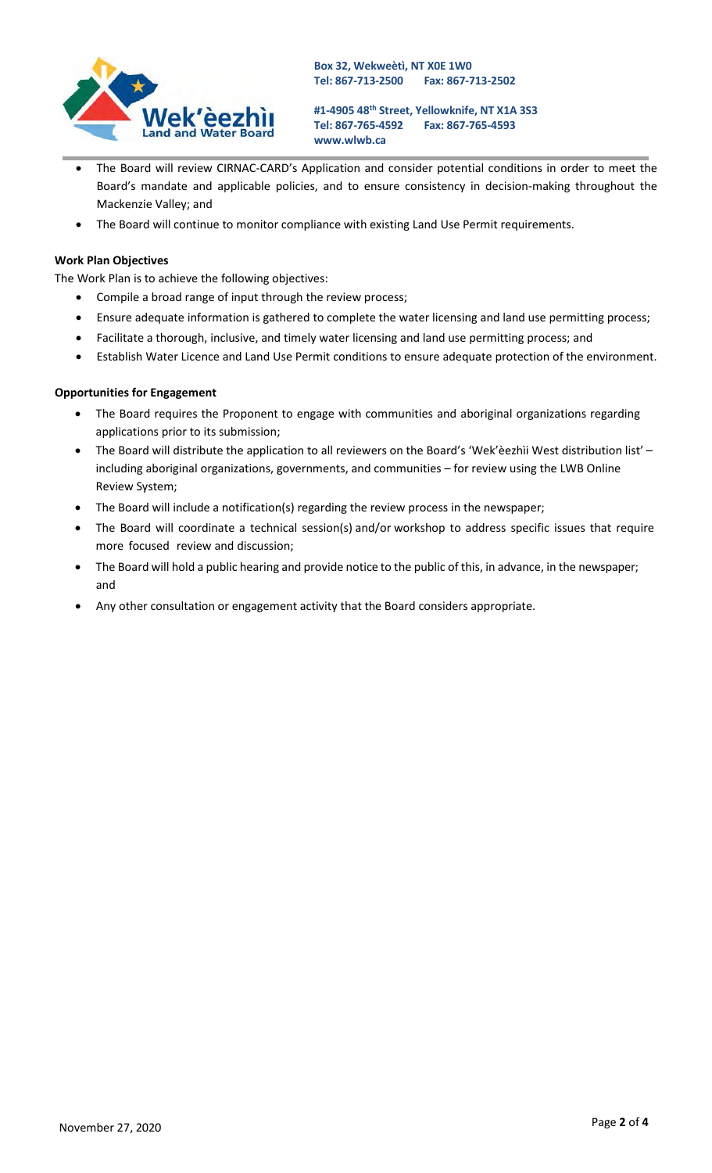

**#1-4905 48th Street, Yellowknife, NT X1A 3S3 Tel: 867-765-4592 [www.wlwb.ca](http://www.wlwb.ca/) Fax: 867-765-4593**

- The Board will review CIRNAC-CARD's Application and consider potential conditions in order to meet the Board's mandate and applicable policies, and to ensure consistency in decision-making throughout the Mackenzie Valley; and
- The Board will continue to monitor compliance with existing Land Use Permit requirements.

#### **Work Plan Objectives**

The Work Plan is to achieve the following objectives:

- Compile a broad range of input through the review process;
- Ensure adequate information is gathered to complete the water licensing and land use permitting process;
- Facilitate a thorough, inclusive, and timely water licensing and land use permitting process; and
- Establish Water Licence and Land Use Permit conditions to ensure adequate protection of the environment.

#### **Opportunities for Engagement**

- The Board requires the Proponent to engage with communities and aboriginal organizations regarding applications prior to its submission;
- The Board will distribute the application to all reviewers on the Board's 'Wek'èezhìi West distribution list' including aboriginal organizations, governments, and communities – for review using the LWB Online Review System;
- The Board will include a notification(s) regarding the review process in the newspaper;
- The Board will coordinate a technical session(s) and/or workshop to address specific issues that require more focused review and discussion;
- The Board will hold a public hearing and provide notice to the public of this, in advance, in the newspaper; and
- Any other consultation or engagement activity that the Board considers appropriate.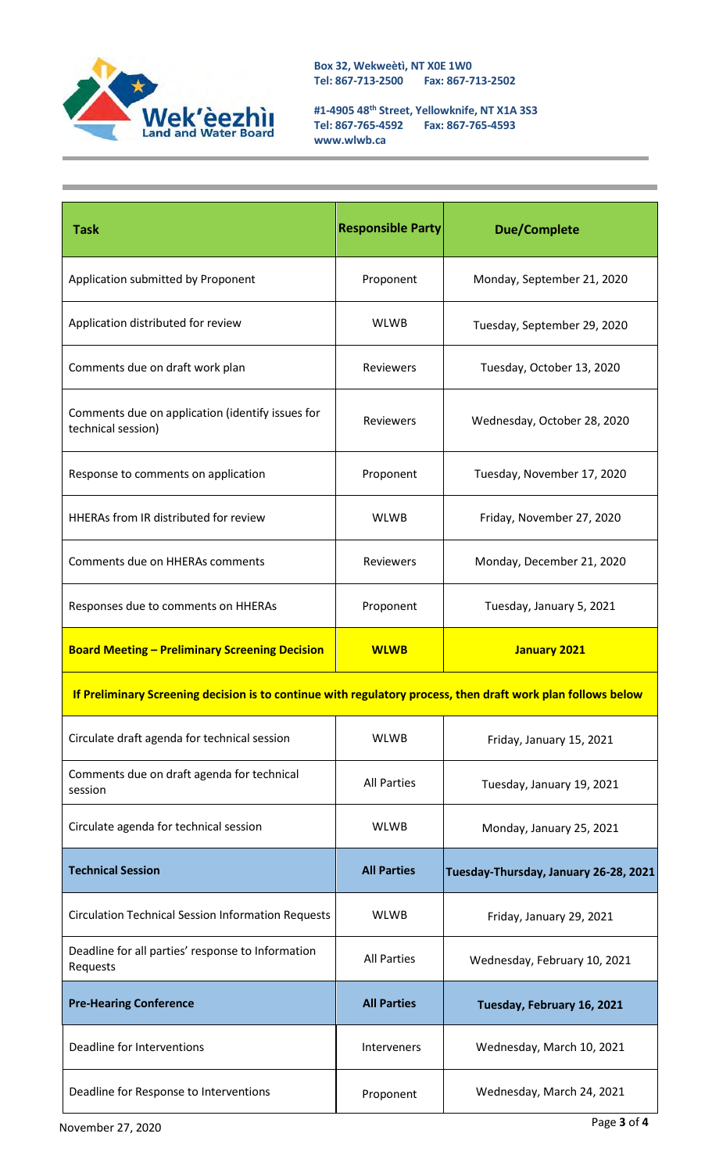

**Box 32, Wekweètì, NT X0E 1W0 Tel: 867-713-2500 Fax: 867-713-2502**

**#1-4905 48th Street, Yellowknife, NT X1A 3S3 Tel: 867-765-4592 Fax: 867-765-4593 [www.wlwb.ca](http://www.wlwb.ca/)**

| <b>Task</b>                                                                                                  | <b>Responsible Party</b> | <b>Due/Complete</b>                   |  |
|--------------------------------------------------------------------------------------------------------------|--------------------------|---------------------------------------|--|
| Application submitted by Proponent                                                                           | Proponent                | Monday, September 21, 2020            |  |
| Application distributed for review                                                                           | <b>WLWB</b>              | Tuesday, September 29, 2020           |  |
| Comments due on draft work plan                                                                              | Reviewers                | Tuesday, October 13, 2020             |  |
| Comments due on application (identify issues for<br>technical session)                                       | <b>Reviewers</b>         | Wednesday, October 28, 2020           |  |
| Response to comments on application                                                                          | Proponent                | Tuesday, November 17, 2020            |  |
| HHERAs from IR distributed for review                                                                        | <b>WLWB</b>              | Friday, November 27, 2020             |  |
| Comments due on HHERAs comments                                                                              | <b>Reviewers</b>         | Monday, December 21, 2020             |  |
| Responses due to comments on HHERAs                                                                          | Proponent                | Tuesday, January 5, 2021              |  |
| <b>Board Meeting - Preliminary Screening Decision</b>                                                        | <b>WLWB</b>              | <b>January 2021</b>                   |  |
| If Preliminary Screening decision is to continue with regulatory process, then draft work plan follows below |                          |                                       |  |
| Circulate draft agenda for technical session                                                                 | <b>WLWB</b>              | Friday, January 15, 2021              |  |
| Comments due on draft agenda for technical<br>session                                                        | <b>All Parties</b>       | Tuesday, January 19, 2021             |  |
| Circulate agenda for technical session                                                                       | <b>WLWB</b>              | Monday, January 25, 2021              |  |
| <b>Technical Session</b>                                                                                     | <b>All Parties</b>       | Tuesday-Thursday, January 26-28, 2021 |  |
| <b>Circulation Technical Session Information Requests</b>                                                    | <b>WLWB</b>              | Friday, January 29, 2021              |  |
| Deadline for all parties' response to Information<br>Requests                                                | <b>All Parties</b>       | Wednesday, February 10, 2021          |  |
| <b>Pre-Hearing Conference</b>                                                                                | <b>All Parties</b>       | Tuesday, February 16, 2021            |  |
| Deadline for Interventions                                                                                   | <b>Interveners</b>       | Wednesday, March 10, 2021             |  |
| Deadline for Response to Interventions                                                                       | Proponent                | Wednesday, March 24, 2021             |  |